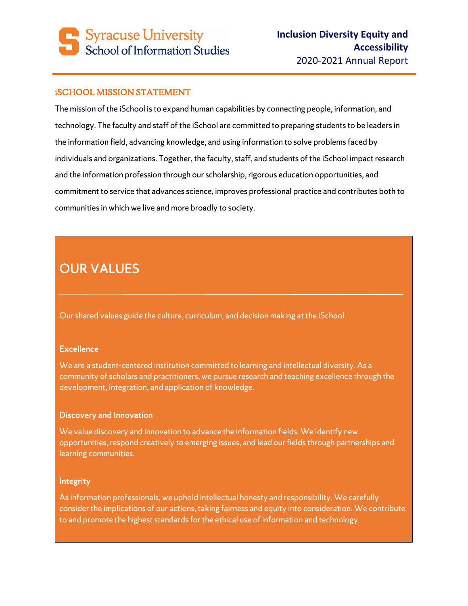# **Syracuse University** School of Information Studies

### iSCHOOL MISSION STATEMENT

The mission of the iSchool is to expand human capabilities by connecting people, information, and technology. The faculty and staff of the iSchool are committed to preparing students to be leaders in the information field, advancing knowledge, and using information to solve problems faced by individuals and organizations. Together, the faculty, staff, and students of the iSchool impact research and the information profession through our scholarship, rigorous education opportunities, and commitment to service that advances science, improves professional practice and contributes both to communities in which we live and more broadly to society.

# OUR VALUES

Our shared values guide the culture, curriculum, and decision making at the iSchool.

#### **Excellence**

We are a student-centered institution committed to learning and intellectual diversity. As a community of scholars and practitioners, we pursue research and teaching excellence through the development, integration, and application of knowledge.

#### Discovery and Innovation

We value discovery and innovation to advance the information fields. We identify new opportunities, respond creatively to emerging issues, and lead our fields through partnerships and learning communities.

#### Integrity

As information professionals, we uphold intellectual honesty and responsibility. We carefully consider the implications of our actions, taking fairness and equity into consideration. We contribute to and promote the highest standards for the ethical use of information and technology.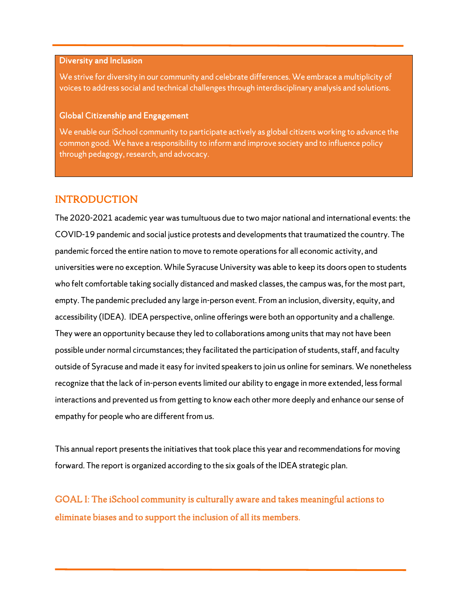#### Diversity and Inclusion

We strive for diversity in our community and celebrate differences. We embrace a multiplicity of voices to address social and technical challenges through interdisciplinary analysis and solutions.

#### Global Citizenship and Engagement

We enable our iSchool community to participate actively as global citizens working to advance the common good. We have a responsibility to inform and improve society and to influence policy through pedagogy, research, and advocacy.

### INTRODUCTION

The 2020-2021 academic year was tumultuous due to two major national and international events: the COVID-19 pandemic and social justice protests and developments that traumatized the country. The pandemic forced the entire nation to move to remote operations for all economic activity, and universities were no exception. While Syracuse University was able to keep its doors open to students who felt comfortable taking socially distanced and masked classes, the campus was, for the most part, empty. The pandemic precluded any large in-person event. From an inclusion, diversity, equity, and accessibility (IDEA). IDEA perspective, online offerings were both an opportunity and a challenge. They were an opportunity because they led to collaborations among units that may not have been possible under normal circumstances; they facilitated the participation of students, staff, and faculty outside of Syracuse and made it easy for invited speakers to join us online for seminars. We nonetheless recognize that the lack of in-person events limited our ability to engage in more extended, less formal interactions and prevented us from getting to know each other more deeply and enhance our sense of empathy for people who are different from us.

This annual report presents the initiatives that took place this year and recommendations for moving forward. The report is organized according to the six goals of the IDEA strategic plan.

GOAL I: The iSchool community is culturally aware and takes meaningful actions to eliminate biases and to support the inclusion of all its members.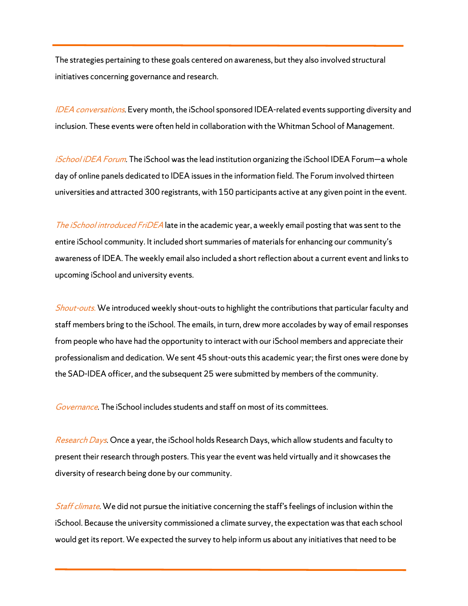The strategies pertaining to these goals centered on awareness, but they also involved structural initiatives concerning governance and research.

IDEA conversations. Every month, the iSchool sponsored IDEA-related events supporting diversity and inclusion. These events were often held in collaboration with the Whitman School of Management.

iSchool iDEA Forum. The iSchool was the lead institution organizing the iSchool IDEA Forum—a whole day of online panels dedicated to IDEA issues in the information field. The Forum involved thirteen universities and attracted 300 registrants, with 150 participants active at any given point in the event.

The *iSchool introduced FriDEA* late in the academic year, a weekly email posting that was sent to the entire iSchool community. It included short summaries of materials for enhancing our community's awareness of IDEA. The weekly email also included a short reflection about a current event and links to upcoming iSchool and university events.

Shout-outs. We introduced weekly shout-outs to highlight the contributions that particular faculty and staff members bring to the iSchool. The emails, in turn, drew more accolades by way of email responses from people who have had the opportunity to interact with our iSchool members and appreciate their professionalism and dedication. We sent 45 shout-outs this academic year; the first ones were done by the SAD-IDEA officer, and the subsequent 25 were submitted by members of the community.

Governance. The iSchool includes students and staff on most of its committees.

Research Days. Once a year, the iSchool holds Research Days, which allow students and faculty to present their research through posters. This year the event was held virtually and it showcases the diversity of research being done by our community.

Staff climate. We did not pursue the initiative concerning the staff's feelings of inclusion within the iSchool. Because the university commissioned a climate survey, the expectation was that each school would get its report. We expected the survey to help inform us about any initiatives that need to be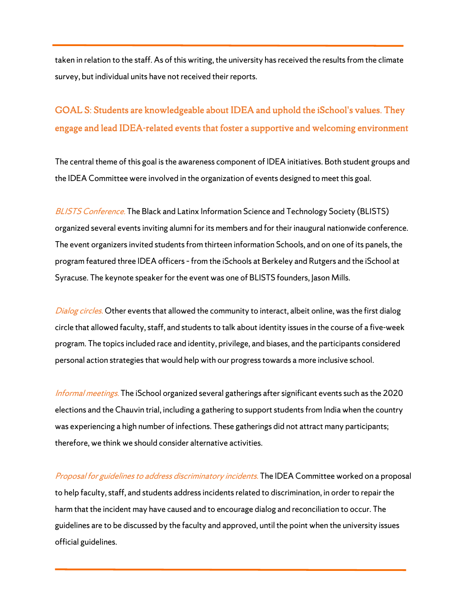taken in relation to the staff. As of this writing, the university has received the results from the climate survey, but individual units have not received their reports.

## GOAL S: Students are knowledgeable about IDEA and uphold the iSchool's values. They engage and lead IDEA-related events that foster a supportive and welcoming environment

The central theme of this goal is the awareness component of IDEA initiatives. Both student groups and the IDEA Committee were involved in the organization of events designed to meet this goal.

BLISTS Conference. The Black and Latinx Information Science and Technology Society (BLISTS) organized several events inviting alumni for its members and for their inaugural nationwide conference. The event organizers invited students from thirteen information Schools, and on one of its panels, the program featured three IDEA officers – from the iSchools at Berkeley and Rutgers and the iSchool at Syracuse. The keynote speaker for the event was one of BLISTS founders, Jason Mills.

Dialog circles. Other events that allowed the community to interact, albeit online, was the first dialog circle that allowed faculty, staff, and students to talk about identity issues in the course of a five-week program. The topics included race and identity, privilege, and biases, and the participants considered personal action strategies that would help with our progress towards a more inclusive school.

Informal meetings. The iSchool organized several gatherings after significant events such as the 2020 elections and the Chauvin trial, including a gathering to support students from India when the country was experiencing a high number of infections. These gatherings did not attract many participants; therefore, we think we should consider alternative activities.

Proposal for guidelines to address discriminatory incidents. The IDEA Committee worked on a proposal to help faculty, staff, and students address incidents related to discrimination, in order to repair the harm that the incident may have caused and to encourage dialog and reconciliation to occur. The guidelines are to be discussed by the faculty and approved, until the point when the university issues official guidelines.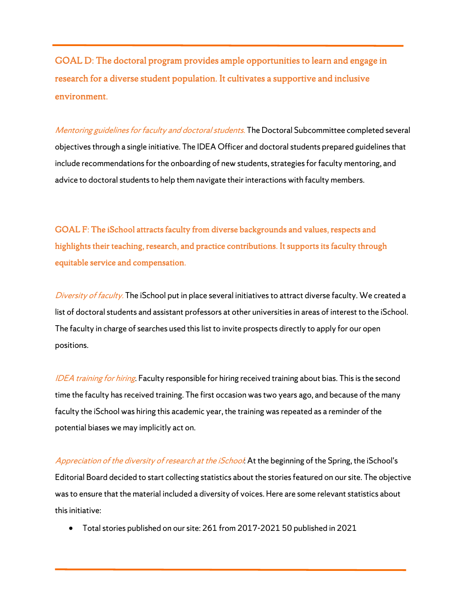GOAL D: The doctoral program provides ample opportunities to learn and engage in research for a diverse student population. It cultivates a supportive and inclusive environment.

Mentoring guidelines for faculty and doctoral students. The Doctoral Subcommittee completed several objectives through a single initiative. The IDEA Officer and doctoral students prepared guidelines that include recommendations for the onboarding of new students, strategies for faculty mentoring, and advice to doctoral students to help them navigate their interactions with faculty members.

GOAL F: The iSchool attracts faculty from diverse backgrounds and values, respects and highlights their teaching, research, and practice contributions. It supports its faculty through equitable service and compensation.

Diversity of faculty. The iSchool put in place several initiatives to attract diverse faculty. We created a list of doctoral students and assistant professors at other universities in areas of interest to the iSchool. The faculty in charge of searches used this list to invite prospects directly to apply for our open positions.

IDEA training for hiring. Faculty responsible for hiring received training about bias. This is the second time the faculty has received training. The first occasion was two years ago, and because of the many faculty the iSchool was hiring this academic year, the training was repeated as a reminder of the potential biases we may implicitly act on.

Appreciation of the diversity of research at the iSchool. At the beginning of the Spring, the iSchool's Editorial Board decided to start collecting statistics about the stories featured on our site. The objective was to ensure that the material included a diversity of voices. Here are some relevant statistics about this initiative:

Total stories published on our site: 261 from 2017-2021 50 published in 2021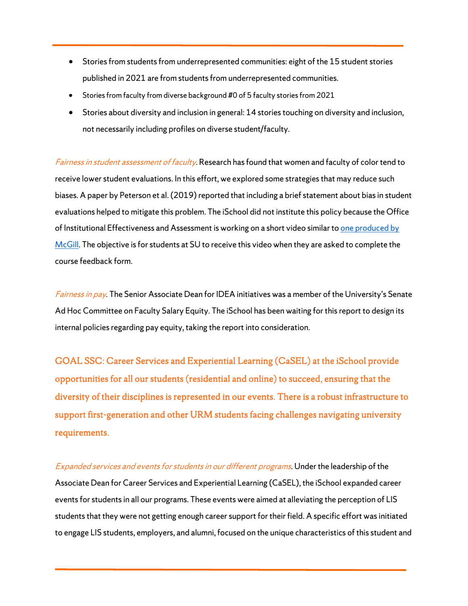- Stories from students from underrepresented communities: eight of the 15 student stories published in 2021 are from students from underrepresented communities.
- Stories from faculty from diverse background #0 of 5 faculty stories from 2021
- Stories about diversity and inclusion in general: 14 stories touching on diversity and inclusion, not necessarily including profiles on diverse student/faculty.

Fairness in student assessment of faculty. Research has found that women and faculty of color tend to receive lower student evaluations. In this effort, we explored some strategies that may reduce such biases. A paper by Peterson et al. (2019) reported that including a brief statement about bias in student evaluations helped to mitigate this problem. The iSchool did not institute this policy because the Office of Institutional Effectiveness and Assessment is working on a short video similar to one produced by McGill. The objective is for students at SU to receive this video when they are asked to complete the course feedback form.

Fairness in pay. The Senior Associate Dean for IDEA initiatives was a member of the University's Senate Ad Hoc Committee on Faculty Salary Equity. The iSchool has been waiting for this report to design its internal policies regarding pay equity, taking the report into consideration.

GOAL SSC: Career Services and Experiential Learning (CaSEL) at the iSchool provide opportunities for all our students (residential and online) to succeed, ensuring that the diversity of their disciplines is represented in our events. There is a robust infrastructure to support first-generation and other URM students facing challenges navigating university requirements.

Expanded services and events for students in our different programs. Under the leadership of the Associate Dean for Career Services and Experiential Learning (CaSEL), the iSchool expanded career events for students in all our programs. These events were aimed at alleviating the perception of LIS students that they were not getting enough career support for their field. A specific effort was initiated to engage LIS students, employers, and alumni, focused on the unique characteristics of this student and